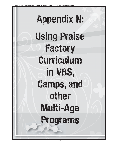# **Appendix N: Using Praise Factory Curriculum in VBS, Camps, and other Multi-Age Programs**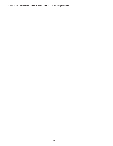Appendix N: Using Praise Factory Curriculum in VBS, Camps and Other Multi-Age Programs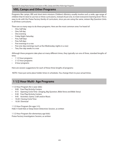# **VBS, Camps and Other Programs**

Programs like camps, VBS and short-term missions Children's Ministry usually involve such a wide, age-range of children that it's best to use two or three curriculums, instead of just one, to meet everyone's learning level. This is easy to do with the Praise Factory family of curriculum, since you are using the same, sixteen Big Question Units in all three curriculums.

There are so many ways to do these programs. Here are the most common ones I've heard of:

- One, half day
- One, full day
- One evening
- Friday Night-Saturday
- Five, half days
- Five, full days
- Five evenings in a row
- Five one-day evenings (such as five Wednesday nights in a row)
- Two, five-day weeks in a row

Although these programs take place at many different times, they typically run one of three, standard lengths of time:

- 1 1/2 hour programs
- 2 1/2 hour programs
- 6 hour programs

Here are session suggestions for each of these three lengths of programs:

NOTE: I have put some place holder times in schedules. You change them to your actual times.

# **1 1/2 Hour Multi- Age Programs**

1 1/2 Hour Program (for 2 year olds):

- 9:00 Free Play/Activity Centers
- 9:15 Opening Circle Time (Singing, Big Question, Bible Verse and Bible Story)
- 9:30 Free Play/Activity Centers
- 9:45 Activities: Game, Craft and/or Music
- 10:20 Closing Circle Time
- 10:30 Dismissal

1 1/2 Hour Program (for ages 3-5): Hide 'n' Seek Kids or Deep Down Detectives Session, as written

1 1/2 Hour Program (for elementary age kids): Praise Factory Investigators Session, as written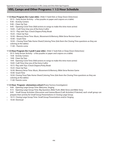## **VBS, Camps and Other Programs: 1 1/2 Hour Schedule**

#### **1 1/2 Hour Program (for 2 year olds):** (Hide 'n' Seek Kids or Deep Down Detectives)

- (9:15 Early Arriver Activity a few puzzles or paper and crayons on a table)
- 9:30 Activity Centers
- 9:40 Clean Up Toys
- 9:45 Opening Circle Time (Add actions to songs to make this time more active)
- 10:05 Craft Time (Use one of the Extra Crafts)
- 10:15 Play with Toys /Check Diapers/Potty Break
- 10:25 Clean Up Toys
- 10:30 Memory Verse Time: Music, Movement & Memory; Bible Verse Review Game
- 10:40 Snack Time
- 10:50 Closing Time/Take Home Sheet/Coloring Time (Ask them the Closing Time questions as they are coloring at the tables)
- 11:00 Parents come

#### **1 1/2 Hour Program (for 3-preK 5 year olds):** (Hide 'n' Seek Kids or Deep Down Detectives)

- (9:15 Early Arriver Activity a few puzzles or paper and crayons on a table)
- 9:30 Activity Centers
- 9:40 Clean Up Toys
- 9:45 Opening Circle Time (Add actions to songs to make this time more active)
- 10:05 Craft Time (Use one of the Extra Crafts)
- 10:15 Play with Toys /Check Diapers/Potty Break
- 10:25 Clean Up Toys
- 10:30 Memory Verse Time: Music, Movement & Memory; Bible Verse Review Game
- 10:40 Snack Time
- 10:50 Closing Time/Take Home Sheet/Coloring Time (Ask them the Closing Time questions as they are coloring at the tables)
- 11:00 Parents come

#### **1 1/2 Hour Program--elementary school (**Praise Factory Investigators)

- 9:00 Opening Large Group Time: Welcome, Singing
- 9:15 Opening Large Group Time: Big Question, Bible Truth, Bible Verse and Bible Story
- 9:45 Small Group Activities (Discussion and Games/Music/Craft Activities) If desired, each small group can prepare their activity for Small Group Presentations in Closing Large Group.
- 10:15 Closing Large Group Time: Small Group Presentations and/or Singing
- 10:30 Dismissal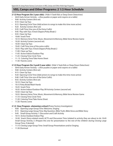# **VBS, Camps and Other Programs: 2 1/2 Hour Schedule**

**2 1/2 Hour Program (for 2 year olds):** (Hide 'n' Seek Kids or Deep Down Detectives)

- (8:45 Early Arriver Activity a few puzzles or paper and crayons on a table)
- 9:00 Activity Centers (first set)
- 9:10 Clean Up Toys
- 9:15 Opening Circle Time (Add actions to songs to make this time more active)
- 9:25 Activity Centers (first set)
- 9:35 Craft Time (Use one of the Extra Crafts)
- 9:45 Play with Toys /Check Diapers/Potty Break 2
- 9:55 Clean Up Toys
- 10:00 Snack Time
- 10:10 Memory Verse Time: Music, Movement & Memory; Bible Verse Review Game
- 10:20 Activity Centers (second set)
- 10:30 Clean Up Toys
- 10:45 Craft Time (one of the extra crafts)
- 10:55 Play with Toys /Check Diapers/Potty Break 2
- 11:00 Clean up Toys
- 11:05 Active Indoor/Outdoor Play
- 11:25 Closing Time Circle Time
- 11: 15 Coloring Time/Take Home Sheet
- 11:30 Parents come

## **2 1/2 Hour Program (for 3-preK 5 year olds):** (Hide 'n' Seek Kids or Deep Down Detectives)

- (8:45 Early Arriver Activity a few puzzles or paper and crayons on a table)
- 9:00 Activity Centers (first set)
- 9:15 Clean Up Toys
- 9:20 Opening Circle Time (Add actions to songs to make this time more active)
- 9:40 Craft Time (Use one of the Extra Crafts)
- 9:55 Activity Centers (first set)
- 10:10 Clean Up Toys
- 10:15 Potty Break/Wash Hands
- 10:25 Snack Time
- 10:35 Active Indoor/Outdoor Play OR Activity Centers (second set)
- 10:50 Clean Up Toys
- 10:55 Memory Verse Time: Music, Movement & Memory; Bible Verse Review Game
- 11:10 Closing Time Circle Time
- 11:20 Coloring Time/Take Home Sheet
- 11:30 Parents come

## **2 1/2 Hour Program--elementary school (**Praise Factory Investigators)

- 9:00 Opening Large Group Time: Welcome, Singing
- 9:15 Opening Large Group Time: Big Question, Bible Truth, Bible Verse and Bible Story
- 9:45 Small Group Activity 1: Discussion and Craft Activity
- 10:15 Active Outdoor/Indoor Play
- 10:30 Snack (Story-related snack) ACTS and Discussion Time (related to activity they are about to do 10:45 Small Group Activity 2: (Prepare this one for presentation to the rest of the children during Closing Large Group Time, if desired)
- 11:15: Closing Large Group Time: Small Group Presentations and/or Singing
- 11:30 Dismissal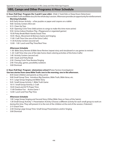# **VBS, Camps and Other Programs: 6 Hour Schedule**

## **6 Hour (Full Day) Program (for 3-preK 5 year olds):** (Hide 'n' Seek Kids or Deep Down Detectives)

Use one Bible Truth and Bible story for the whole day's session. Afternoon provides an opportunity for reinforcement. **Morning Schedule**

- 8:45 Early Arriver Activity a few puzzles or paper and crayons on a table)
- 9:00 Activity Centers (first set)
- 9:15 Clean Up Toys
- 9:20 Opening Circle Time (Add actions to songs to make this time more active)
- 9:50 Active Indoor/Outdoor Play (Playground or organized games)
- 10:30 Potty Break/Wash Hands/Snack Time
- 10:45 Music, Movement & Memory Game and Singing
- 11:00 Craft Time (Use one of the Extra Crafts)
- 11:30 Activity Centers (second set)
- 12:00 1:00 Lunch and Play Time/Rest Time

## **Afternoon Schedule**

- 1: 00 Bible Story Review & Bible Verse Review (repeat story and storyboard or use games to review)
- 1: 20 Craft Time (Use one of the take home sheet coloring activities of the Extra Crafts)
- 1:40 Activity Centers (second set)
- 2:00 Snack and Potty Break
- 2:30 Closing Circle Time Review/Singing
- 2:40 Free play, games, possibility outdoors
- 3:00 Dismissal

## **6 Hour (Full Day) Program--elementary school (**Praise Factory Investigators)

- **Use two stories from same Bible Truth: one in the morning, one in the afternoon.**
- 8:45 Greet children and parents as they arrive
- 9:00 Small Group Time: Introduce Big Question, Bible Truth, Bible Verse, etc.
- 9:15 Large Group Singing and Bible Story
- 9:45 Small Group Activity 1: Bible Truth Game
- 10:15 Small Group Activity 2: Craft
- 10:45 Snack and ACTS Prayer Time
- 11:00 Outdoor Fun Active Game 1
- 12:00 Lunch and Free Play Time

## **Afternoon Schedule**

- 1:00 Large Group Singing and Second Story (Other Bible Story or Story of the Saints)
- 1:30 Small Group Activity 1: Presentation Activity (Choose a different activity for each small group to work on during this time. They will present it to the rest of the children at the end of the session, if desired.)
- 2:15 Snack Time
- 2:30 Closing Large Group Time: Small Group Presentations and/or Singing
- 3:00 Dismissal

•